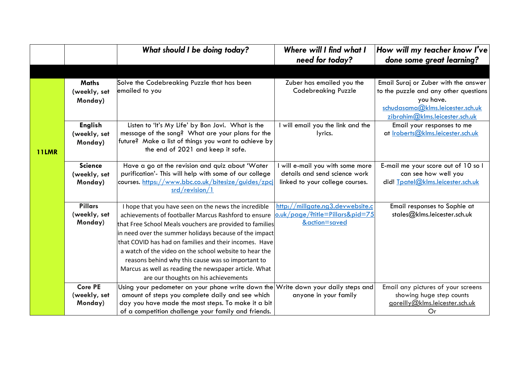|              |                                           | What should I be doing today?                                                                                                                                                                                                                                                                                                                                                                                                                                                                                | Where will I find what I<br>need for today?                                                        | How will my teacher know I've<br>done some great learning?                                                                                                       |
|--------------|-------------------------------------------|--------------------------------------------------------------------------------------------------------------------------------------------------------------------------------------------------------------------------------------------------------------------------------------------------------------------------------------------------------------------------------------------------------------------------------------------------------------------------------------------------------------|----------------------------------------------------------------------------------------------------|------------------------------------------------------------------------------------------------------------------------------------------------------------------|
|              |                                           |                                                                                                                                                                                                                                                                                                                                                                                                                                                                                                              |                                                                                                    |                                                                                                                                                                  |
|              | <b>Maths</b><br>(weekly, set<br>Monday)   | Solve the Codebreaking Puzzle that has been<br>emailed to you                                                                                                                                                                                                                                                                                                                                                                                                                                                | Zuber has emailed you the<br><b>Codebreaking Puzzle</b>                                            | Email Suraj or Zuber with the answer<br>to the puzzle and any other questions<br>you have.<br>schudasama@klms.leicester.sch.uk<br>zibrahim@klms.leicester.sch.uk |
| <b>11LMR</b> | <b>English</b><br>(weekly, set<br>Monday) | Listen to 'It's My Life' by Bon Jovi. What is the<br>message of the song? What are your plans for the<br>future? Make a list of things you want to achieve by<br>the end of 2021 and keep it safe.                                                                                                                                                                                                                                                                                                           | I will email you the link and the<br>lyrics.                                                       | Email your responses to me<br>at Iroberts@klms.leicester.sch.uk                                                                                                  |
|              | <b>Science</b><br>(weekly, set<br>Monday) | Have a go at the revision and quiz about 'Water<br>purification'- This will help with some of our college<br>courses. https://www.bbc.co.uk/bitesize/guides/zpcj<br>srd/revision/1                                                                                                                                                                                                                                                                                                                           | will e-mail you with some more<br>details and send science work<br>linked to your college courses. | E-mail me your score out of 10 so I<br>can see how well you<br>did! Tpatel@klms.leicester.sch.uk                                                                 |
|              | <b>Pillars</b><br>(weekly, set<br>Monday) | I hope that you have seen on the news the incredible<br>achievements of footballer Marcus Rashford to ensure<br>that Free School Meals vouchers are provided to families<br>in need over the summer holidays because of the impact<br>that COVID has had on families and their incomes. Have<br>a watch of the video on the school website to hear the<br>reasons behind why this cause was so important to<br>Marcus as well as reading the newspaper article. What<br>are our thoughts on his achievements | http://millgate.ng3.devwebsite.c<br>o.uk/page/?title=Pillars&pid=75<br>&action=saved               | Email responses to Sophie at<br>stales@klms.leicester.sch.uk                                                                                                     |
|              | <b>Core PE</b><br>(weekly, set<br>Monday) | Using your pedometer on your phone write down the Write down your daily steps and<br>amount of steps you complete daily and see which<br>day you have made the most steps. To make it a bit<br>of a competition challenge your family and friends.                                                                                                                                                                                                                                                           | anyone in your family                                                                              | Email any pictures of your screens<br>showing huge step counts<br>goreilly@klms.leicester.sch.uk<br>Or                                                           |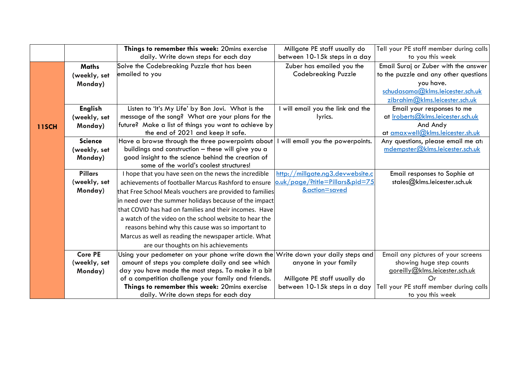|              |                | Things to remember this week: 20mins exercise                                     | Millgate PE staff usually do     | Tell your PE staff member during calls   |
|--------------|----------------|-----------------------------------------------------------------------------------|----------------------------------|------------------------------------------|
|              |                | daily. Write down steps for each day                                              | between 10-15k steps in a day    | to you this week                         |
|              | <b>Maths</b>   | Solve the Codebreaking Puzzle that has been                                       | Zuber has emailed you the        | Email Suraj or Zuber with the answer     |
|              | (weekly, set   | emailed to you                                                                    | <b>Codebreaking Puzzle</b>       | to the puzzle and any other questions    |
|              | Monday)        |                                                                                   |                                  | you have.                                |
|              |                |                                                                                   |                                  | schudasama@klms.leicester.sch.uk         |
|              |                |                                                                                   |                                  | zibrahim@klms.leicester.sch.uk           |
|              | <b>English</b> | Listen to 'It's My Life' by Bon Jovi. What is the                                 | will email you the link and the  | Email your responses to me               |
|              | (weekly, set   | message of the song? What are your plans for the                                  | lyrics.                          | at <u>Iroberts@klms.leicester.sch.uk</u> |
| <b>11SCH</b> | Monday)        | future? Make a list of things you want to achieve by                              |                                  | And Andy                                 |
|              |                | the end of 2021 and keep it safe.                                                 |                                  | at amaxwell@klms.leicester.sh.uk         |
|              | <b>Science</b> | Have a browse through the three powerpoints about                                 | will email you the powerpoints.  | Any questions, please email me at:       |
|              | (weekly, set   | buildings and construction - these will give you a                                |                                  | mdempster@klms.leicester.sch.uk          |
|              | Monday)        | good insight to the science behind the creation of                                |                                  |                                          |
|              |                | some of the world's coolest structures!                                           |                                  |                                          |
|              | <b>Pillars</b> | I hope that you have seen on the news the incredible                              | http://millgate.ng3.devwebsite.c | Email responses to Sophie at             |
|              | (weekly, set   | achievements of footballer Marcus Rashford to ensure                              | o.uk/page/?title=Pillars&pid=75  | stales@klms.leicester.sch.uk             |
|              | Monday)        | that Free School Meals vouchers are provided to families                          | &action=saved                    |                                          |
|              |                | in need over the summer holidays because of the impact                            |                                  |                                          |
|              |                | that COVID has had on families and their incomes. Have                            |                                  |                                          |
|              |                | a watch of the video on the school website to hear the                            |                                  |                                          |
|              |                | reasons behind why this cause was so important to                                 |                                  |                                          |
|              |                | Marcus as well as reading the newspaper article. What                             |                                  |                                          |
|              |                | are our thoughts on his achievements                                              |                                  |                                          |
|              | <b>Core PE</b> | Using your pedometer on your phone write down the Write down your daily steps and |                                  | Email any pictures of your screens       |
|              | (weekly, set   | amount of steps you complete daily and see which                                  | anyone in your family            | showing huge step counts                 |
|              | Monday)        | day you have made the most steps. To make it a bit                                |                                  | goreilly@klms.leicester.sch.uk           |
|              |                | of a competition challenge your family and friends.                               | Millgate PE staff usually do     | Or                                       |
|              |                | Things to remember this week: 20mins exercise                                     | between 10-15k steps in a day    | Tell your PE staff member during calls   |
|              |                | daily. Write down steps for each day                                              |                                  | to you this week                         |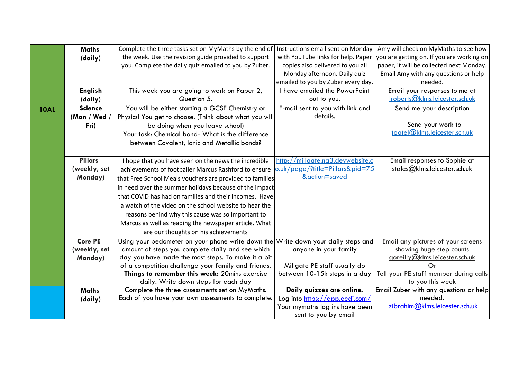|             | <b>Maths</b>   | Complete the three tasks set on MyMaths by the end of                             | Instructions email sent on Monday  | Amy will check on MyMaths to see how      |
|-------------|----------------|-----------------------------------------------------------------------------------|------------------------------------|-------------------------------------------|
|             | (daily)        | the week. Use the revision guide provided to support                              | with YouTube links for help. Paper | you are getting on. If you are working on |
|             |                | you. Complete the daily quiz emailed to you by Zuber.                             | copies also delivered to you all   | paper, it will be collected next Monday.  |
|             |                |                                                                                   | Monday afternoon. Daily quiz       | Email Amy with any questions or help      |
|             |                |                                                                                   | emailed to you by Zuber every day. | needed.                                   |
|             | <b>English</b> | This week you are going to work on Paper 2,                                       | I have emailed the PowerPoint      | Email your responses to me at             |
|             | (daily)        | Question 5.                                                                       | out to you.                        | Iroberts@klms.leicester.sch.uk            |
| <b>10AL</b> | <b>Science</b> | You will be either starting a GCSE Chemistry or                                   | E-mail sent to you with link and   | Send me your description                  |
|             | (Mon / Wed /   | Physics! You get to choose. (Think about what you will                            | details.                           |                                           |
|             | Fri)           | be doing when you leave school)                                                   |                                    | Send your work to                         |
|             |                | Your task: Chemical bond- What is the difference                                  |                                    | tpatel@klms.leicester.sch.uk              |
|             |                | between Covalent, Ionic and Metallic bonds?                                       |                                    |                                           |
|             |                |                                                                                   |                                    |                                           |
|             | <b>Pillars</b> | I hope that you have seen on the news the incredible                              | http://millgate.ng3.devwebsite.c   | Email responses to Sophie at              |
|             | (weekly, set   | achievements of footballer Marcus Rashford to ensure                              | o.uk/page/?title=Pillars&pid=75    | stales@klms.leicester.sch.uk              |
|             | Monday)        | that Free School Meals vouchers are provided to families                          | &action=saved                      |                                           |
|             |                | in need over the summer holidays because of the impact                            |                                    |                                           |
|             |                | that COVID has had on families and their incomes. Have                            |                                    |                                           |
|             |                | a watch of the video on the school website to hear the                            |                                    |                                           |
|             |                | reasons behind why this cause was so important to                                 |                                    |                                           |
|             |                | Marcus as well as reading the newspaper article. What                             |                                    |                                           |
|             |                | are our thoughts on his achievements                                              |                                    |                                           |
|             | <b>Core PE</b> | Using your pedometer on your phone write down the Write down your daily steps and |                                    | Email any pictures of your screens        |
|             | (weekly, set   | amount of steps you complete daily and see which                                  | anyone in your family              | showing huge step counts                  |
|             | Monday)        | day you have made the most steps. To make it a bit                                |                                    | goreilly@klms.leicester.sch.uk            |
|             |                | of a competition challenge your family and friends.                               | Millgate PE staff usually do       | Or                                        |
|             |                | Things to remember this week: 20mins exercise                                     | between 10-15k steps in a day      | Tell your PE staff member during calls    |
|             |                | daily. Write down steps for each day                                              |                                    | to you this week                          |
|             | <b>Maths</b>   | Complete the three assessments set on MyMaths.                                    | Daily quizzes are online.          | Email Zuber with any questions or help    |
|             | (daily)        | Each of you have your own assessments to complete.                                | Log into https://app.eedi.com/     | needed.                                   |
|             |                |                                                                                   | Your mymaths log ins have been     | zibrahim@klms.leicester.sch.uk            |
|             |                |                                                                                   | sent to you by email               |                                           |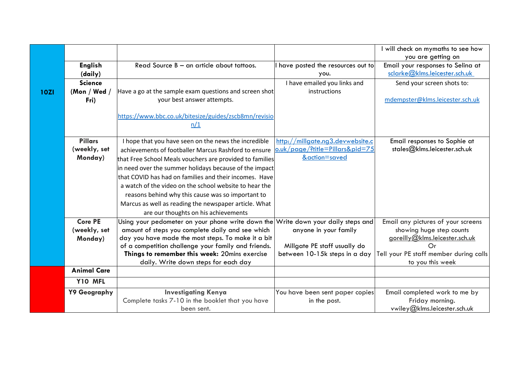|             |                    |                                                                                   |                                  | will check on mymaths to see how       |
|-------------|--------------------|-----------------------------------------------------------------------------------|----------------------------------|----------------------------------------|
|             |                    |                                                                                   |                                  | you are getting on                     |
|             | <b>English</b>     | Read Source B - an article about tattoos.                                         | have posted the resources out to | Email your responses to Selina at      |
|             | (daily)            |                                                                                   | you.                             | sclarke@klms.leicester.sch.uk          |
|             | <b>Science</b>     |                                                                                   | I have emailed you links and     | Send your screen shots to:             |
| <b>10ZI</b> | (Mon / Wed $/$     | Have a go at the sample exam questions and screen shot                            | instructions                     |                                        |
|             | Fri)               | your best answer attempts.                                                        |                                  | mdempster@klms.leicester.sch.uk        |
|             |                    | https://www.bbc.co.uk/bitesize/guides/zscb8mn/revisio                             |                                  |                                        |
|             |                    | n/1                                                                               |                                  |                                        |
|             | <b>Pillars</b>     | I hope that you have seen on the news the incredible                              | http://millgate.ng3.devwebsite.c | Email responses to Sophie at           |
|             | (weekly, set       | achievements of footballer Marcus Rashford to ensure                              | o.uk/page/?title=Pillars&pid=75  | stales@klms.leicester.sch.uk           |
|             | Monday)            | that Free School Meals vouchers are provided to families                          | &action=saved                    |                                        |
|             |                    | in need over the summer holidays because of the impact                            |                                  |                                        |
|             |                    | that COVID has had on families and their incomes. Have                            |                                  |                                        |
|             |                    | a watch of the video on the school website to hear the                            |                                  |                                        |
|             |                    | reasons behind why this cause was so important to                                 |                                  |                                        |
|             |                    | Marcus as well as reading the newspaper article. What                             |                                  |                                        |
|             |                    | are our thoughts on his achievements                                              |                                  |                                        |
|             | <b>Core PE</b>     | Using your pedometer on your phone write down the Write down your daily steps and |                                  | Email any pictures of your screens     |
|             | (weekly, set       | amount of steps you complete daily and see which                                  | anyone in your family            | showing huge step counts               |
|             | Monday)            | day you have made the most steps. To make it a bit                                |                                  | goreilly@klms.leicester.sch.uk         |
|             |                    | of a competition challenge your family and friends.                               | Millgate PE staff usually do     | Or                                     |
|             |                    | Things to remember this week: 20mins exercise                                     | between 10-15k steps in a day    | Tell your PE staff member during calls |
|             |                    | daily. Write down steps for each day                                              |                                  | to you this week                       |
|             | <b>Animal Care</b> |                                                                                   |                                  |                                        |
|             | Y10 MFL            |                                                                                   |                                  |                                        |
|             | Y9 Geography       | <b>Investigating Kenya</b>                                                        | You have been sent paper copies  | Email completed work to me by          |
|             |                    | Complete tasks 7-10 in the booklet that you have                                  | in the post.                     | Friday morning.                        |
|             |                    | been sent.                                                                        |                                  | vwiley@klms.leicester.sch.uk           |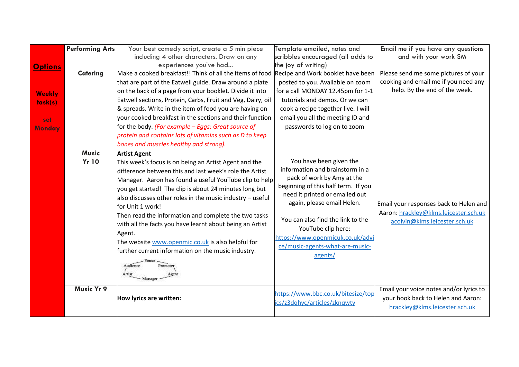|                | <b>Performing Arts</b> | Your best comedy script, create a 5 min piece               | Template emailed, notes and         | Email me if you have any questions      |
|----------------|------------------------|-------------------------------------------------------------|-------------------------------------|-----------------------------------------|
|                |                        | including 4 other characters. Draw on any                   | scribbles encouraged (all adds to   | and with your work SM                   |
| <b>Options</b> |                        | experiences you've had                                      | the joy of writing)                 |                                         |
|                | <b>Catering</b>        | Make a cooked breakfast!! Think of all the items of food    | Recipe and Work booklet have been   | Please send me some pictures of your    |
|                |                        | that are part of the Eatwell guide. Draw around a plate     | posted to you. Available on zoom    | cooking and email me if you need any    |
| <b>Weekly</b>  |                        | on the back of a page from your booklet. Divide it into     | for a call MONDAY 12.45pm for 1-1   | help. By the end of the week.           |
| task(s)        |                        | Eatwell sections, Protein, Carbs, Fruit and Veg, Dairy, oil | tutorials and demos. Or we can      |                                         |
|                |                        | & spreads. Write in the item of food you are having on      | cook a recipe together live. I will |                                         |
| set            |                        | vour cooked breakfast in the sections and their function    | email you all the meeting ID and    |                                         |
| Monday         |                        | for the body. (For example - Eggs: Great source of          | passwords to log on to zoom         |                                         |
|                |                        | protein and contains lots of vitamins such as D to keep     |                                     |                                         |
|                |                        | bones and muscles healthy and strong).                      |                                     |                                         |
|                | <b>Music</b>           | <b>Artist Agent</b>                                         |                                     |                                         |
|                | <b>Yr 10</b>           | This week's focus is on being an Artist Agent and the       | You have been given the             |                                         |
|                |                        | difference between this and last week's role the Artist     | information and brainstorm in a     |                                         |
|                |                        | Manager. Aaron has found a useful YouTube clip to help      | pack of work by Amy at the          |                                         |
|                |                        | you get started! The clip is about 24 minutes long but      | beginning of this half term. If you |                                         |
|                |                        | also discusses other roles in the music industry $-$ useful | need it printed or emailed out      |                                         |
|                |                        | for Unit 1 work!                                            | again, please email Helen.          | Email your responses back to Helen and  |
|                |                        | Then read the information and complete the two tasks        |                                     | Aaron: hrackley@klms.leicester.sch.uk   |
|                |                        | with all the facts you have learnt about being an Artist    | You can also find the link to the   | acolvin@klms.leicester.sch.uk           |
|                |                        | Agent.                                                      | YouTube clip here:                  |                                         |
|                |                        | The website www.openmic.co.uk is also helpful for           | https://www.openmicuk.co.uk/advi    |                                         |
|                |                        | further current information on the music industry.          | ce/music-agents-what-are-music-     |                                         |
|                |                        |                                                             | agents/                             |                                         |
|                |                        | Audience<br>Promoter                                        |                                     |                                         |
|                |                        | Artist<br>Agen<br>- Manager                                 |                                     |                                         |
|                |                        |                                                             |                                     |                                         |
|                | <b>Music Yr 9</b>      |                                                             | https://www.bbc.co.uk/bitesize/top  | Email your voice notes and/or lyrics to |
|                |                        | How lyrics are written:                                     | ics/z3dqhyc/articles/zknqwty        | your hook back to Helen and Aaron:      |
|                |                        |                                                             |                                     | hrackley@klms.leicester.sch.uk          |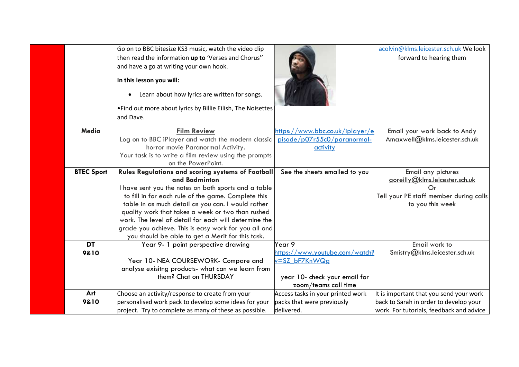|                   | Go on to BBC bitesize KS3 music, watch the video clip                       |                                   | acolvin@klms.leicester.sch.uk We look    |
|-------------------|-----------------------------------------------------------------------------|-----------------------------------|------------------------------------------|
|                   | then read the information up to 'Verses and Chorus"                         |                                   | forward to hearing them                  |
|                   | and have a go at writing your own hook.                                     |                                   |                                          |
|                   | In this lesson you will:                                                    |                                   |                                          |
|                   | Learn about how lyrics are written for songs.<br>$\bullet$                  |                                   |                                          |
|                   | . Find out more about lyrics by Billie Eilish, The Noisettes                |                                   |                                          |
|                   | and Dave.                                                                   |                                   |                                          |
|                   |                                                                             |                                   |                                          |
| <b>Media</b>      | <b>Film Review</b>                                                          | https://www.bbc.co.uk/iplayer/e   | Email your work back to Andy             |
|                   | Log on to BBC iPlayer and watch the modern classic                          | pisode/p07r55c0/paranormal-       | Amaxwell@klms.leicester.sch.uk           |
|                   | horror movie Paranormal Activity.                                           | activity                          |                                          |
|                   | Your task is to write a film review using the prompts                       |                                   |                                          |
|                   | on the PowerPoint.                                                          |                                   |                                          |
| <b>BTEC Sport</b> | <b>Rules Regulations and scoring systems of Football</b>                    | See the sheets emailed to you     | Email any pictures                       |
|                   | and Badminton                                                               |                                   | goreilly@klms.leicester.sch.uk           |
|                   | I have sent you the notes on both sports and a table                        |                                   | Or                                       |
|                   | to fill in for each rule of the game. Complete this                         |                                   | Tell your PE staff member during calls   |
|                   | table in as much detail as you can. I would rather                          |                                   | to you this week                         |
|                   | quality work that takes a week or two than rushed                           |                                   |                                          |
|                   | work. The level of detail for each will determine the                       |                                   |                                          |
|                   | grade you achieve. This is easy work for you all and                        |                                   |                                          |
|                   | you should be able to get a Merit for this task.                            |                                   |                                          |
| <b>DT</b>         | Year 9- 1 point perspective drawing                                         | Year 9                            | Email work to                            |
| 9&10              |                                                                             | https://www.youtube.com/watch?    | Smistry@klms.leicester.sch.uk            |
|                   | Year 10- NEA COURSEWORK- Compare and                                        | v=SZ bF7KnWQg                     |                                          |
|                   | analyse exisitng products- what can we learn from<br>them? Chat on THURSDAY |                                   |                                          |
|                   |                                                                             | year 10- check your email for     |                                          |
|                   |                                                                             | zoom/teams call time              |                                          |
| Art               | Choose an activity/response to create from your                             | Access tasks in your printed work | It is important that you send your work  |
| 9&10              | personalised work pack to develop some ideas for your                       | packs that were previously        | back to Sarah in order to develop your   |
|                   | project. Try to complete as many of these as possible.                      | delivered.                        | work. For tutorials, feedback and advice |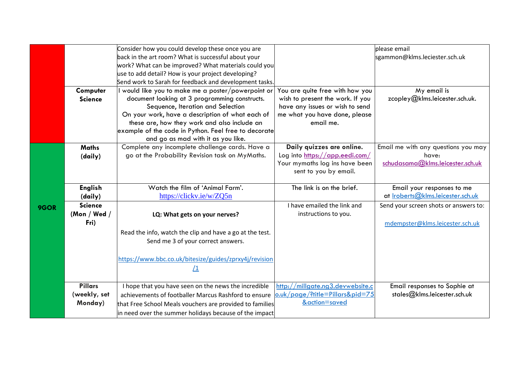|      |                | Consider how you could develop these once you are                                                  |                                                             | please email                                 |
|------|----------------|----------------------------------------------------------------------------------------------------|-------------------------------------------------------------|----------------------------------------------|
|      |                | back in the art room? What is successful about your                                                |                                                             | sgammon@klms.leciester.sch.uk                |
|      |                | work? What can be improved? What materials could you                                               |                                                             |                                              |
|      |                | use to add detail? How is your project developing?                                                 |                                                             |                                              |
|      |                | Send work to Sarah for feedback and development tasks.                                             |                                                             |                                              |
|      | Computer       | would like you to make me a poster/powerpoint or                                                   | You are quite free with how you                             | My email is                                  |
|      | <b>Science</b> | document looking at 3 programming constructs.                                                      | wish to present the work. If you                            | zcopley@klms.leicester.sch.uk.               |
|      |                | Sequence, Iteration and Selection                                                                  | have any issues or wish to send                             |                                              |
|      |                | On your work, have a description of what each of                                                   | me what you have done, please                               |                                              |
|      |                | these are, how they work and also include an                                                       | email me.                                                   |                                              |
|      |                | example of the code in Python. Feel free to decorate                                               |                                                             |                                              |
|      |                | and go as mad with it as you like.                                                                 |                                                             |                                              |
|      | <b>Maths</b>   | Complete any incomplete challenge cards. Have a<br>go at the Probability Revision task on MyMaths. | Daily quizzes are online.<br>Log into https://app.eedi.com/ | Email me with any questions you may<br>have: |
|      | (daily)        |                                                                                                    | Your mymaths log ins have been                              | schudasama@klms.leicester.sch.uk             |
|      |                |                                                                                                    | sent to you by email.                                       |                                              |
|      |                |                                                                                                    |                                                             |                                              |
|      | <b>English</b> | Watch the film of 'Animal Farm'.                                                                   | The link is on the brief.                                   | Email your responses to me                   |
|      | (daily)        | https://clickv.ie/w/ZQ5n                                                                           |                                                             | at Iroberts@klms.leicester.sch.uk            |
| 9GOR | <b>Science</b> |                                                                                                    | I have emailed the link and                                 | Send your screen shots or answers to:        |
|      | (Mon / Wed /   | LQ: What gets on your nerves?                                                                      | instructions to you.                                        |                                              |
|      | Fri)           |                                                                                                    |                                                             | mdempster@klms.leicester.sch.uk              |
|      |                | Read the info, watch the clip and have a go at the test.                                           |                                                             |                                              |
|      |                | Send me 3 of your correct answers.                                                                 |                                                             |                                              |
|      |                |                                                                                                    |                                                             |                                              |
|      |                | https://www.bbc.co.uk/bitesize/guides/zprxy4j/revision                                             |                                                             |                                              |
|      |                | <u>/1</u>                                                                                          |                                                             |                                              |
|      |                |                                                                                                    |                                                             |                                              |
|      | <b>Pillars</b> | I hope that you have seen on the news the incredible                                               | http://millgate.ng3.devwebsite.c                            | Email responses to Sophie at                 |
|      | (weekly, set   | achievements of footballer Marcus Rashford to ensure                                               | o.uk/page/?title=Pillars&pid=75                             | stales@klms.leicester.sch.uk                 |
|      | Monday)        | that Free School Meals vouchers are provided to families                                           | &action=saved                                               |                                              |
|      |                | in need over the summer holidays because of the impact                                             |                                                             |                                              |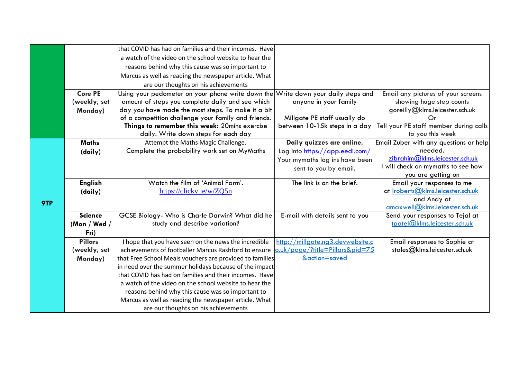|     |                      | that COVID has had on families and their incomes. Have                           |                                  |                                                                 |
|-----|----------------------|----------------------------------------------------------------------------------|----------------------------------|-----------------------------------------------------------------|
|     |                      | a watch of the video on the school website to hear the                           |                                  |                                                                 |
|     |                      | reasons behind why this cause was so important to                                |                                  |                                                                 |
|     |                      | Marcus as well as reading the newspaper article. What                            |                                  |                                                                 |
|     |                      | are our thoughts on his achievements                                             |                                  |                                                                 |
|     | <b>Core PE</b>       | Using your pedometer on your phone write down the                                | Write down your daily steps and  | Email any pictures of your screens                              |
|     | (weekly, set         | amount of steps you complete daily and see which                                 | anyone in your family            | showing huge step counts                                        |
|     | Monday)              | day you have made the most steps. To make it a bit                               |                                  | goreilly@klms.leicester.sch.uk                                  |
|     |                      | of a competition challenge your family and friends.                              | Millgate PE staff usually do     | Or                                                              |
|     |                      | Things to remember this week: 20mins exercise                                    | between 10-15k steps in a day    | Tell your PE staff member during calls                          |
|     |                      | daily. Write down steps for each day                                             |                                  | to you this week                                                |
|     | <b>Maths</b>         | Attempt the Maths Magic Challenge.                                               | Daily quizzes are online.        | Email Zuber with any questions or help                          |
|     | (daily)              | Complete the probability work set on MyMaths                                     | Log into https://app.eedi.com/   | needed.                                                         |
|     |                      |                                                                                  | Your mymaths log ins have been   | zibrahim@klms.leicester.sch.uk                                  |
|     |                      |                                                                                  | sent to you by email.            | I will check on mymaths to see how                              |
|     |                      |                                                                                  |                                  | you are getting on                                              |
|     | <b>English</b>       | Watch the film of 'Animal Farm'.                                                 | The link is on the brief.        | Email your responses to me                                      |
|     | (daily)              | https://clickv.ie/w/ZQ5n                                                         |                                  | at <u>Iroberts@klms.leicester.sch.uk</u>                        |
| 9TP |                      |                                                                                  |                                  | and Andy at<br>amaxwell@klms.eicester.sch.uk                    |
|     | <b>Science</b>       |                                                                                  |                                  |                                                                 |
|     |                      | GCSE Biology- Who is Charle Darwin? What did he<br>study and describe variation? | E-mail with details sent to you  | Send your responses to Tejal at<br>tpatel@klms.leicester.sch.uk |
|     | (Mon / Wed /<br>Fri) |                                                                                  |                                  |                                                                 |
|     | <b>Pillars</b>       | I hope that you have seen on the news the incredible                             | http://millgate.ng3.devwebsite.c |                                                                 |
|     | (weekly, set         | achievements of footballer Marcus Rashford to ensure                             | o.uk/page/?title=Pillars&pid=75  | Email responses to Sophie at<br>stales@klms.leicester.sch.uk    |
|     | Monday)              | that Free School Meals vouchers are provided to families                         | &action=saved                    |                                                                 |
|     |                      | in need over the summer holidays because of the impact                           |                                  |                                                                 |
|     |                      | that COVID has had on families and their incomes. Have                           |                                  |                                                                 |
|     |                      | a watch of the video on the school website to hear the                           |                                  |                                                                 |
|     |                      | reasons behind why this cause was so important to                                |                                  |                                                                 |
|     |                      | Marcus as well as reading the newspaper article. What                            |                                  |                                                                 |
|     |                      | are our thoughts on his achievements                                             |                                  |                                                                 |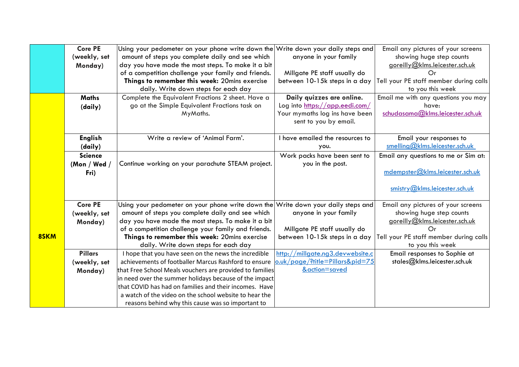|      | <b>Core PE</b> | Using your pedometer on your phone write down the Write down your daily steps and |                                  | Email any pictures of your screens     |
|------|----------------|-----------------------------------------------------------------------------------|----------------------------------|----------------------------------------|
|      | (weekly, set   | amount of steps you complete daily and see which                                  | anyone in your family            | showing huge step counts               |
|      | Monday)        | day you have made the most steps. To make it a bit                                |                                  | goreilly@klms.leicester.sch.uk         |
|      |                | of a competition challenge your family and friends.                               | Millgate PE staff usually do     | Or                                     |
|      |                | Things to remember this week: 20mins exercise                                     | between 10-15k steps in a day    | Tell your PE staff member during calls |
|      |                | daily. Write down steps for each day                                              |                                  | to you this week                       |
|      | <b>Maths</b>   | Complete the Equivalent Fractions 2 sheet. Have a                                 | Daily quizzes are online.        | Email me with any questions you may    |
|      | (daily)        | go at the Simple Equivalent Fractions task on                                     | Log into https://app.eedi.com/   | have:                                  |
|      |                | MyMaths.                                                                          | Your mymaths log ins have been   | schudasama@klms.leicester.sch.uk       |
|      |                |                                                                                   | sent to you by email.            |                                        |
|      |                |                                                                                   |                                  |                                        |
|      | <b>English</b> | Write a review of 'Animal Farm'.                                                  | I have emailed the resources to  | Email your responses to                |
|      | (daily)        |                                                                                   | you.                             | smelling@klms.leicester.sch.uk         |
|      | <b>Science</b> |                                                                                   | Work packs have been sent to     | Email any questions to me or Sim at:   |
|      | (Mon / Wed $/$ | Continue working on your parachute STEAM project.                                 | you in the post.                 |                                        |
|      | Fri)           |                                                                                   |                                  | mdempster@klms.leicester.sch.uk        |
|      |                |                                                                                   |                                  |                                        |
|      |                |                                                                                   |                                  | $s$ mistry@klms.leicester.sch.uk       |
|      | <b>Core PE</b> | Using your pedometer on your phone write down the Write down your daily steps and |                                  | Email any pictures of your screens     |
|      | (weekly, set   | amount of steps you complete daily and see which                                  | anyone in your family            | showing huge step counts               |
|      | Monday)        | day you have made the most steps. To make it a bit                                |                                  | goreilly@klms.leicester.sch.uk         |
|      |                | of a competition challenge your family and friends.                               | Millgate PE staff usually do     | Οr                                     |
| 8SKM |                | Things to remember this week: 20mins exercise                                     | between 10-15k steps in a day    | Tell your PE staff member during calls |
|      |                | daily. Write down steps for each day                                              |                                  | to you this week                       |
|      | <b>Pillars</b> | I hope that you have seen on the news the incredible                              | http://millgate.ng3.devwebsite.c | Email responses to Sophie at           |
|      | (weekly, set   | achievements of footballer Marcus Rashford to ensure                              | o.uk/page/?title=Pillars&pid=75  | stales@klms.leicester.sch.uk           |
|      | Monday)        | that Free School Meals vouchers are provided to families                          | &action=saved                    |                                        |
|      |                | in need over the summer holidays because of the impact                            |                                  |                                        |
|      |                | that COVID has had on families and their incomes. Have                            |                                  |                                        |
|      |                | a watch of the video on the school website to hear the                            |                                  |                                        |
|      |                | reasons behind why this cause was so important to                                 |                                  |                                        |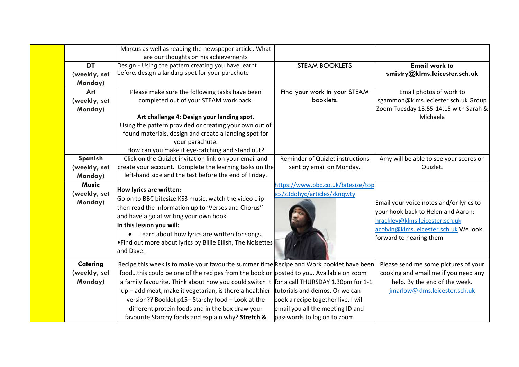| Marcus as well as reading the newspaper article. What |                                                                                            |                                     |                                         |
|-------------------------------------------------------|--------------------------------------------------------------------------------------------|-------------------------------------|-----------------------------------------|
|                                                       | are our thoughts on his achievements                                                       |                                     |                                         |
| <b>DT</b>                                             | Design - Using the pattern creating you have learnt                                        | <b>STEAM BOOKLETS</b>               | <b>Email work to</b>                    |
| (weekly, set                                          | before, design a landing spot for your parachute                                           |                                     | smistry@klms.leicester.sch.uk           |
| Monday)                                               |                                                                                            |                                     |                                         |
| Art                                                   | Please make sure the following tasks have been                                             | Find your work in your STEAM        | Email photos of work to                 |
| (weekly, set                                          | completed out of your STEAM work pack.                                                     | booklets.                           | sgammon@klms.leciester.sch.uk Group     |
| Monday)                                               |                                                                                            |                                     | Zoom Tuesday 13.55-14.15 with Sarah &   |
|                                                       | Art challenge 4: Design your landing spot.                                                 |                                     | Michaela                                |
|                                                       | Using the pattern provided or creating your own out of                                     |                                     |                                         |
|                                                       | found materials, design and create a landing spot for                                      |                                     |                                         |
|                                                       | your parachute.                                                                            |                                     |                                         |
|                                                       | How can you make it eye-catching and stand out?                                            |                                     |                                         |
| Spanish                                               | Click on the Quizlet invitation link on your email and                                     | Reminder of Quizlet instructions    | Amy will be able to see your scores on  |
| (weekly, set                                          | create your account. Complete the learning tasks on the                                    | sent by email on Monday.            | Quizlet.                                |
| Monday)                                               | left-hand side and the test before the end of Friday.                                      |                                     |                                         |
| <b>Music</b>                                          | How lyrics are written:                                                                    | https://www.bbc.co.uk/bitesize/top  |                                         |
| (weekly, set                                          | Go on to BBC bitesize KS3 music, watch the video clip                                      | ics/z3dqhyc/articles/zknqwty        |                                         |
| Monday)                                               |                                                                                            |                                     | Email your voice notes and/or lyrics to |
|                                                       | then read the information up to 'Verses and Chorus"                                        |                                     | your hook back to Helen and Aaron:      |
|                                                       | and have a go at writing your own hook.                                                    |                                     | hrackley@klms.leicester.sch.uk          |
|                                                       | In this lesson you will:                                                                   |                                     | acolvin@klms.leicester.sch.uk We look   |
|                                                       | • Learn about how lyrics are written for songs.                                            |                                     | forward to hearing them                 |
|                                                       | . Find out more about lyrics by Billie Eilish, The Noisettes                               |                                     |                                         |
|                                                       | and Dave.                                                                                  |                                     |                                         |
| Catering                                              | Recipe this week is to make your favourite summer time Recipe and Work booklet have been   |                                     | Please send me some pictures of your    |
| (weekly, set                                          | foodthis could be one of the recipes from the book or posted to you. Available on zoom     |                                     | cooking and email me if you need any    |
| Monday)                                               | a family favourite. Think about how you could switch it for a call THURSDAY 1.30pm for 1-1 |                                     | help. By the end of the week.           |
|                                                       | up - add meat, make it vegetarian, is there a healthier                                    | tutorials and demos. Or we can      | jmarlow@klms.leicester.sch.uk           |
|                                                       | version?? Booklet p15-Starchy food - Look at the                                           | cook a recipe together live. I will |                                         |
|                                                       | different protein foods and in the box draw your                                           | email you all the meeting ID and    |                                         |
|                                                       | favourite Starchy foods and explain why? Stretch &                                         | passwords to log on to zoom         |                                         |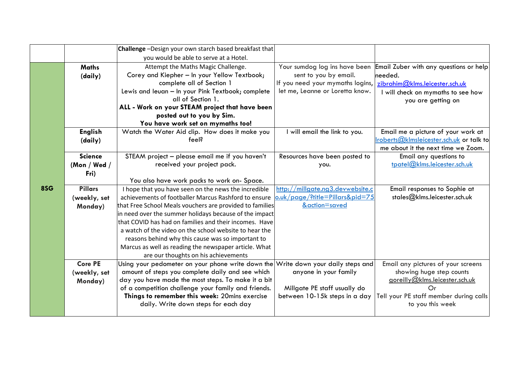|     |                | Challenge -Design your own starch based breakfast that                            |                                                                   |                                                                               |
|-----|----------------|-----------------------------------------------------------------------------------|-------------------------------------------------------------------|-------------------------------------------------------------------------------|
|     |                | you would be able to serve at a Hotel.                                            |                                                                   |                                                                               |
|     | <b>Maths</b>   | Attempt the Maths Magic Challenge.                                                | Your sumdog log ins have been                                     | Email Zuber with any questions or help                                        |
|     | (daily)        | Corey and Kiepher - In your Yellow Textbook;                                      | sent to you by email.                                             | needed.                                                                       |
|     |                | complete all of Section 1                                                         | If you need your mymaths logins,   zibrahim@klms.leicester.sch.uk |                                                                               |
|     |                | Lewis and leuan - In your Pink Textbook; complete                                 | let me, Leanne or Loretta know.                                   | I will check on mymaths to see how                                            |
|     |                | all of Section 1.                                                                 |                                                                   | you are getting on                                                            |
|     |                | ALL - Work on your STEAM project that have been                                   |                                                                   |                                                                               |
|     |                | posted out to you by Sim.                                                         |                                                                   |                                                                               |
|     |                | You have work set on mymaths too!                                                 |                                                                   |                                                                               |
|     | <b>English</b> | Watch the Water Aid clip. How does it make you                                    | I will email the link to you.                                     | Email me a picture of your work at                                            |
|     | (daily)        | feel?                                                                             |                                                                   | roberts@klmsleicester.sch.uk or talk to<br>me about it the next time we Zoom. |
|     | <b>Science</b> | STEAM project - please email me if you haven't                                    | Resources have been posted to                                     | Email any questions to                                                        |
|     | (Mon / Wed /   | received your project pack.                                                       | you.                                                              | tpatel@klms.leicester.sch.uk                                                  |
|     | Fri)           |                                                                                   |                                                                   |                                                                               |
|     |                | You also have work packs to work on- Space.                                       |                                                                   |                                                                               |
| 8SG | <b>Pillars</b> | I hope that you have seen on the news the incredible                              | http://millgate.ng3.devwebsite.c                                  | Email responses to Sophie at                                                  |
|     | (weekly, set   | achievements of footballer Marcus Rashford to ensure                              | o.uk/page/?title=Pillars&pid=75                                   | stales@klms.leicester.sch.uk                                                  |
|     | Monday)        | that Free School Meals vouchers are provided to families                          | &action=saved                                                     |                                                                               |
|     |                | in need over the summer holidays because of the impact                            |                                                                   |                                                                               |
|     |                | that COVID has had on families and their incomes. Have                            |                                                                   |                                                                               |
|     |                | a watch of the video on the school website to hear the                            |                                                                   |                                                                               |
|     |                | reasons behind why this cause was so important to                                 |                                                                   |                                                                               |
|     |                | Marcus as well as reading the newspaper article. What                             |                                                                   |                                                                               |
|     |                | are our thoughts on his achievements                                              |                                                                   |                                                                               |
|     | <b>Core PE</b> | Using your pedometer on your phone write down the Write down your daily steps and |                                                                   | Email any pictures of your screens                                            |
|     | (weekly, set   | amount of steps you complete daily and see which                                  | anyone in your family                                             | showing huge step counts                                                      |
|     | Monday)        | day you have made the most steps. To make it a bit                                |                                                                   | goreilly@klms.leicester.sch.uk                                                |
|     |                | of a competition challenge your family and friends.                               | Millgate PE staff usually do                                      | Or                                                                            |
|     |                | Things to remember this week: 20mins exercise                                     | between 10-15k steps in a day                                     | Tell your PE staff member during calls                                        |
|     |                | daily. Write down steps for each day                                              |                                                                   | to you this week                                                              |
|     |                |                                                                                   |                                                                   |                                                                               |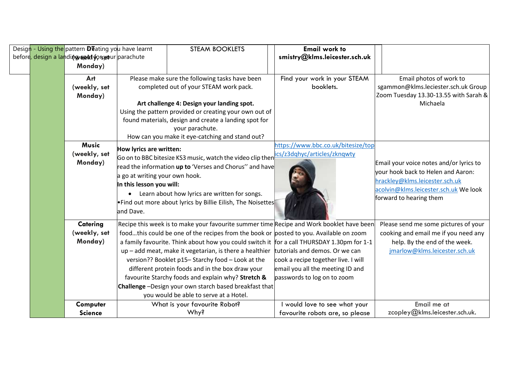| Design - Using the pattern <b>D</b> T ating you have learnt |  |                                                 | <b>STEAM BOOKLETS</b>                                                                              | <b>Email work to</b>                                                                                                                                                                                                                                                                                                                                                                                                                                                                                                                                                                                         |                                                                                                                                          |                                                                                                                                                                                     |
|-------------------------------------------------------------|--|-------------------------------------------------|----------------------------------------------------------------------------------------------------|--------------------------------------------------------------------------------------------------------------------------------------------------------------------------------------------------------------------------------------------------------------------------------------------------------------------------------------------------------------------------------------------------------------------------------------------------------------------------------------------------------------------------------------------------------------------------------------------------------------|------------------------------------------------------------------------------------------------------------------------------------------|-------------------------------------------------------------------------------------------------------------------------------------------------------------------------------------|
|                                                             |  | before, design a landing set forseour parachute |                                                                                                    |                                                                                                                                                                                                                                                                                                                                                                                                                                                                                                                                                                                                              | smistry@klms.leicester.sch.uk                                                                                                            |                                                                                                                                                                                     |
|                                                             |  | Monday)                                         |                                                                                                    |                                                                                                                                                                                                                                                                                                                                                                                                                                                                                                                                                                                                              |                                                                                                                                          |                                                                                                                                                                                     |
|                                                             |  | Art<br>(weekly, set<br>Monday)                  |                                                                                                    | Please make sure the following tasks have been<br>completed out of your STEAM work pack.<br>Art challenge 4: Design your landing spot.<br>Using the pattern provided or creating your own out of<br>found materials, design and create a landing spot for<br>your parachute.<br>How can you make it eye-catching and stand out?                                                                                                                                                                                                                                                                              | Find your work in your STEAM<br>booklets.                                                                                                | Email photos of work to<br>sgammon@klms.leciester.sch.uk Group<br>Zoom Tuesday 13.30-13.55 with Sarah &<br>Michaela                                                                 |
|                                                             |  | <b>Music</b><br>(weekly, set<br>Monday)         | How lyrics are written:<br>a go at writing your own hook.<br>In this lesson you will:<br>and Dave. | Go on to BBC bitesize KS3 music, watch the video clip then<br>read the information up to 'Verses and Chorus" and have<br>• Learn about how lyrics are written for songs.<br>. Find out more about lyrics by Billie Eilish, The Noisettes                                                                                                                                                                                                                                                                                                                                                                     | https://www.bbc.co.uk/bitesize/top<br>ics/z3dqhyc/articles/zknqwty                                                                       | Email your voice notes and/or lyrics to<br>vour hook back to Helen and Aaron:<br>hrackley@klms.leicester.sch.uk<br>acolvin@klms.leicester.sch.uk We look<br>forward to hearing them |
|                                                             |  | Catering<br>(weekly, set<br>Monday)             |                                                                                                    | Recipe this week is to make your favourite summer time Recipe and Work booklet have been<br>foodthis could be one of the recipes from the book or posted to you. Available on zoom<br>a family favourite. Think about how you could switch it for a call THURSDAY 1.30pm for 1-1<br>up - add meat, make it vegetarian, is there a healthier<br>version?? Booklet p15-Starchy food - Look at the<br>different protein foods and in the box draw your<br>favourite Starchy foods and explain why? Stretch &<br>Challenge-Design your own starch based breakfast that<br>you would be able to serve at a Hotel. | tutorials and demos. Or we can<br>cook a recipe together live. I will<br>email you all the meeting ID and<br>passwords to log on to zoom | Please send me some pictures of your<br>cooking and email me if you need any<br>help. By the end of the week.<br>jmarlow@klms.leicester.sch.uk                                      |
|                                                             |  | Computer<br><b>Science</b>                      |                                                                                                    | What is your favourite Robot?<br>Why?                                                                                                                                                                                                                                                                                                                                                                                                                                                                                                                                                                        | I would love to see what your<br>favourite robots are, so please                                                                         | Email me at<br>zcopley@klms.leicester.sch.uk.                                                                                                                                       |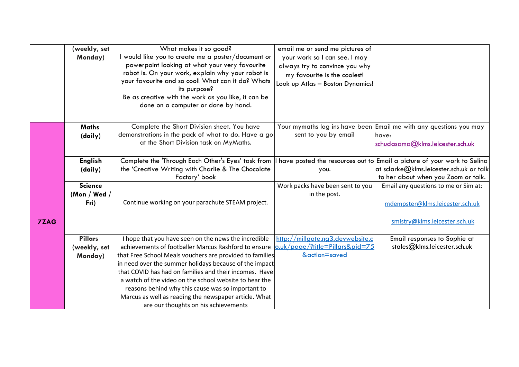|             | (weekly, set   | What makes it so good?                                                                                                       | email me or send me pictures of  |                                                                    |
|-------------|----------------|------------------------------------------------------------------------------------------------------------------------------|----------------------------------|--------------------------------------------------------------------|
|             | Monday)        | I would like you to create me a poster/document or                                                                           | your work so I can see. I may    |                                                                    |
|             |                | powerpoint looking at what your very favourite                                                                               | always try to convince you why   |                                                                    |
|             |                | robot is. On your work, explain why your robot is                                                                            | my favourite is the coolest!     |                                                                    |
|             |                | your favourite and so cool! What can it do? Whats                                                                            | Look up Atlas - Boston Dynamics! |                                                                    |
|             |                | its purpose?                                                                                                                 |                                  |                                                                    |
|             |                | Be as creative with the work as you like, it can be                                                                          |                                  |                                                                    |
|             |                | done on a computer or done by hand.                                                                                          |                                  |                                                                    |
|             |                |                                                                                                                              |                                  |                                                                    |
|             | <b>Maths</b>   | Complete the Short Division sheet. You have                                                                                  |                                  | Your mymaths log ins have been Email me with any questions you may |
|             | (daily)        | demonstrations in the pack of what to do. Have a go                                                                          | sent to you by email             | have:                                                              |
|             |                | at the Short Division task on MyMaths.                                                                                       |                                  | schudasama@klms.leicester.sch.uk                                   |
|             |                |                                                                                                                              |                                  |                                                                    |
|             | <b>English</b> | Complete the 'Through Each Other's Eyes' task from I have posted the resources out to Email a picture of your work to Selina |                                  |                                                                    |
|             | (daily)        | the 'Creative Writing with Charlie & The Chocolate                                                                           | you.                             | at sclarke@klms.leicester.sch.uk or talk                           |
|             |                | Factory' book                                                                                                                |                                  | to her about when you Zoom or talk.                                |
|             | <b>Science</b> |                                                                                                                              | Work packs have been sent to you | Email any questions to me or Sim at:                               |
|             | (Mon / Wed /   |                                                                                                                              | in the post.                     |                                                                    |
|             | Fri)           | Continue working on your parachute STEAM project.                                                                            |                                  | mdempster@klms.leicester.sch.uk                                    |
|             |                |                                                                                                                              |                                  |                                                                    |
| <b>7ZAG</b> |                |                                                                                                                              |                                  | smistry@klms.leicester.sch.uk                                      |
|             |                |                                                                                                                              |                                  |                                                                    |
|             | <b>Pillars</b> | I hope that you have seen on the news the incredible                                                                         | http://millgate.ng3.devwebsite.c | Email responses to Sophie at                                       |
|             | (weekly, set   | achievements of footballer Marcus Rashford to ensure                                                                         | o.uk/page/?title=Pillars&pid=75  | stales@klms.leicester.sch.uk                                       |
|             | Monday)        | that Free School Meals vouchers are provided to families                                                                     | &action=saved                    |                                                                    |
|             |                | in need over the summer holidays because of the impact                                                                       |                                  |                                                                    |
|             |                | that COVID has had on families and their incomes. Have                                                                       |                                  |                                                                    |
|             |                | a watch of the video on the school website to hear the                                                                       |                                  |                                                                    |
|             |                | reasons behind why this cause was so important to                                                                            |                                  |                                                                    |
|             |                | Marcus as well as reading the newspaper article. What                                                                        |                                  |                                                                    |
|             |                | are our thoughts on his achievements                                                                                         |                                  |                                                                    |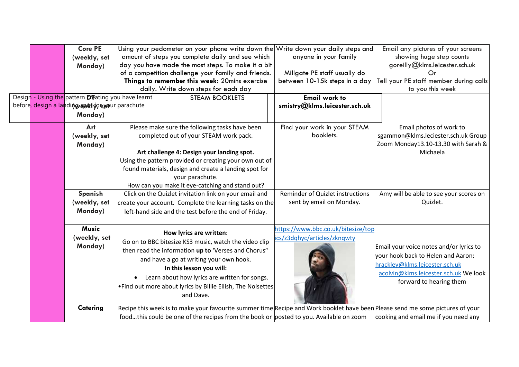|        |                                                                                                                                                                                                | <b>Core PE</b>                                   | Using your pedometer on your phone write down the Write down your daily steps and |                                                                                        |                                  | Email any pictures of your screens                                                                                            |
|--------|------------------------------------------------------------------------------------------------------------------------------------------------------------------------------------------------|--------------------------------------------------|-----------------------------------------------------------------------------------|----------------------------------------------------------------------------------------|----------------------------------|-------------------------------------------------------------------------------------------------------------------------------|
|        |                                                                                                                                                                                                | (weekly, set                                     |                                                                                   | amount of steps you complete daily and see which                                       | anyone in your family            | showing huge step counts                                                                                                      |
|        |                                                                                                                                                                                                | Monday)                                          |                                                                                   | day you have made the most steps. To make it a bit                                     |                                  | goreilly@klms.leicester.sch.uk                                                                                                |
|        |                                                                                                                                                                                                |                                                  |                                                                                   | of a competition challenge your family and friends.                                    | Millgate PE staff usually do     | Or                                                                                                                            |
|        |                                                                                                                                                                                                |                                                  |                                                                                   | Things to remember this week: 20mins exercise                                          | between 10-15k steps in a day    | Tell your PE staff member during calls                                                                                        |
|        |                                                                                                                                                                                                |                                                  |                                                                                   | daily. Write down steps for each day                                                   |                                  | to you this week                                                                                                              |
| Design |                                                                                                                                                                                                | - Using the pattern Deating you have learnt      |                                                                                   | <b>STEAM BOOKLETS</b>                                                                  | <b>Email work to</b>             |                                                                                                                               |
|        |                                                                                                                                                                                                | before, design a landing seat forseour parachute |                                                                                   |                                                                                        | smistry@klms.leicester.sch.uk    |                                                                                                                               |
|        |                                                                                                                                                                                                | Monday)                                          |                                                                                   |                                                                                        |                                  |                                                                                                                               |
|        |                                                                                                                                                                                                | Art                                              |                                                                                   | Please make sure the following tasks have been                                         | Find your work in your STEAM     | Email photos of work to                                                                                                       |
|        |                                                                                                                                                                                                | (weekly, set                                     |                                                                                   | completed out of your STEAM work pack.                                                 | booklets.                        | sgammon@klms.leciester.sch.uk Group                                                                                           |
|        |                                                                                                                                                                                                | Monday)                                          |                                                                                   |                                                                                        |                                  | Zoom Monday13.10-13.30 with Sarah &                                                                                           |
|        |                                                                                                                                                                                                |                                                  |                                                                                   | Art challenge 4: Design your landing spot.                                             |                                  | Michaela                                                                                                                      |
|        |                                                                                                                                                                                                |                                                  |                                                                                   | Using the pattern provided or creating your own out of                                 |                                  |                                                                                                                               |
|        |                                                                                                                                                                                                |                                                  |                                                                                   | found materials, design and create a landing spot for                                  |                                  |                                                                                                                               |
|        |                                                                                                                                                                                                |                                                  |                                                                                   | your parachute.                                                                        |                                  |                                                                                                                               |
|        |                                                                                                                                                                                                |                                                  |                                                                                   | How can you make it eye-catching and stand out?                                        |                                  |                                                                                                                               |
|        |                                                                                                                                                                                                | Spanish                                          |                                                                                   | Click on the Quizlet invitation link on your email and                                 | Reminder of Quizlet instructions | Amy will be able to see your scores on                                                                                        |
|        |                                                                                                                                                                                                | (weekly, set                                     |                                                                                   | create your account. Complete the learning tasks on the                                | sent by email on Monday.         | Quizlet.                                                                                                                      |
|        |                                                                                                                                                                                                |                                                  | Monday)<br>left-hand side and the test before the end of Friday.                  |                                                                                        |                                  |                                                                                                                               |
|        | <b>Music</b>                                                                                                                                                                                   |                                                  | https://www.bbc.co.uk/bitesize/top                                                |                                                                                        |                                  |                                                                                                                               |
|        |                                                                                                                                                                                                | (weekly, set                                     |                                                                                   | How lyrics are written:                                                                | ics/z3dqhyc/articles/zknqwty     |                                                                                                                               |
|        | Go on to BBC bitesize KS3 music, watch the video clip<br>Monday)<br>then read the information up to 'Verses and Chorus"<br>and have a go at writing your own hook.<br>In this lesson you will: |                                                  |                                                                                   |                                                                                        |                                  | Email your voice notes and/or lyrics to                                                                                       |
|        |                                                                                                                                                                                                |                                                  |                                                                                   |                                                                                        |                                  | vour hook back to Helen and Aaron:                                                                                            |
|        |                                                                                                                                                                                                |                                                  |                                                                                   |                                                                                        |                                  | hrackley@klms.leicester.sch.uk                                                                                                |
|        |                                                                                                                                                                                                |                                                  |                                                                                   |                                                                                        |                                  |                                                                                                                               |
|        |                                                                                                                                                                                                |                                                  |                                                                                   | Learn about how lyrics are written for songs.                                          |                                  | acolvin@klms.leicester.sch.uk We look<br>forward to hearing them                                                              |
|        | . Find out more about lyrics by Billie Eilish, The Noisettes                                                                                                                                   |                                                  |                                                                                   |                                                                                        |                                  |                                                                                                                               |
|        | and Dave.                                                                                                                                                                                      |                                                  |                                                                                   |                                                                                        |                                  |                                                                                                                               |
|        |                                                                                                                                                                                                | Catering                                         |                                                                                   |                                                                                        |                                  | Recipe this week is to make your favourite summer time Recipe and Work booklet have been Please send me some pictures of your |
|        |                                                                                                                                                                                                |                                                  |                                                                                   | foodthis could be one of the recipes from the book or posted to you. Available on zoom |                                  | cooking and email me if you need any                                                                                          |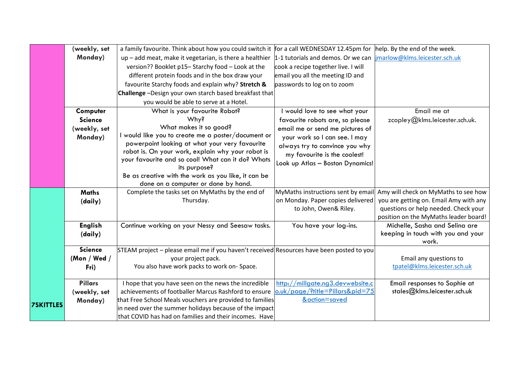|                  | (weekly, set   | a family favourite. Think about how you could switch it for a call WEDNESDAY 12.45pm for  |                                     | help. By the end of the week.                          |
|------------------|----------------|-------------------------------------------------------------------------------------------|-------------------------------------|--------------------------------------------------------|
|                  | Monday)        | up - add meat, make it vegetarian, is there a healthier                                   | 1-1 tutorials and demos. Or we can  | jmarlow@klms.leicester.sch.uk                          |
|                  |                | version?? Booklet p15- Starchy food - Look at the                                         | cook a recipe together live. I will |                                                        |
|                  |                | different protein foods and in the box draw your                                          | email you all the meeting ID and    |                                                        |
|                  |                | favourite Starchy foods and explain why? Stretch &                                        | passwords to log on to zoom         |                                                        |
|                  |                | Challenge -Design your own starch based breakfast that                                    |                                     |                                                        |
|                  |                | you would be able to serve at a Hotel.                                                    |                                     |                                                        |
|                  | Computer       | What is your favourite Robot?                                                             | I would love to see what your       | Email me at                                            |
|                  | <b>Science</b> | Why?                                                                                      | favourite robots are, so please     | zcopley@klms.leicester.sch.uk.                         |
|                  | (weekly, set   | What makes it so good?                                                                    | email me or send me pictures of     |                                                        |
|                  | Monday)        | I would like you to create me a poster/document or                                        | your work so I can see. I may       |                                                        |
|                  |                | powerpoint looking at what your very favourite                                            | always try to convince you why      |                                                        |
|                  |                | robot is. On your work, explain why your robot is                                         | my favourite is the coolest!        |                                                        |
|                  |                | your favourite and so cool! What can it do? Whats<br>its purpose?                         | Look up Atlas - Boston Dynamics!    |                                                        |
|                  |                | Be as creative with the work as you like, it can be                                       |                                     |                                                        |
|                  |                | done on a computer or done by hand.                                                       |                                     |                                                        |
|                  | <b>Maths</b>   | Complete the tasks set on MyMaths by the end of                                           | MyMaths instructions sent by email  | Amy will check on MyMaths to see how                   |
|                  | (daily)        | Thursday.                                                                                 | on Monday. Paper copies delivered   | you are getting on. Email Amy with any                 |
|                  |                |                                                                                           | to John, Owen& Riley.               | questions or help needed. Check your                   |
|                  |                |                                                                                           |                                     | position on the MyMaths leader board!                  |
|                  | <b>English</b> | Continue working on your Nessy and Seesaw tasks.                                          | You have your log-ins.              | Michelle, Sasha and Selina are                         |
|                  | (daily)        |                                                                                           |                                     | keeping in touch with you and your                     |
|                  |                |                                                                                           |                                     | work.                                                  |
|                  | <b>Science</b> | STEAM project - please email me if you haven't received Resources have been posted to you |                                     |                                                        |
|                  | (Mon / Wed /   | your project pack.<br>You also have work packs to work on-Space.                          |                                     | Email any questions to<br>tpatel@klms.leicester.sch.uk |
|                  | Fri)           |                                                                                           |                                     |                                                        |
|                  | <b>Pillars</b> | I hope that you have seen on the news the incredible                                      | http://millgate.ng3.devwebsite.c    | Email responses to Sophie at                           |
|                  | (weekly, set   | achievements of footballer Marcus Rashford to ensure                                      | o.uk/page/?title=Pillars&pid=75     | stales@klms.leicester.sch.uk                           |
|                  | Monday)        | that Free School Meals vouchers are provided to families                                  | &action=saved                       |                                                        |
| <b>7SKITTLES</b> |                | in need over the summer holidays because of the impact                                    |                                     |                                                        |
|                  |                | that COVID has had on families and their incomes. Have                                    |                                     |                                                        |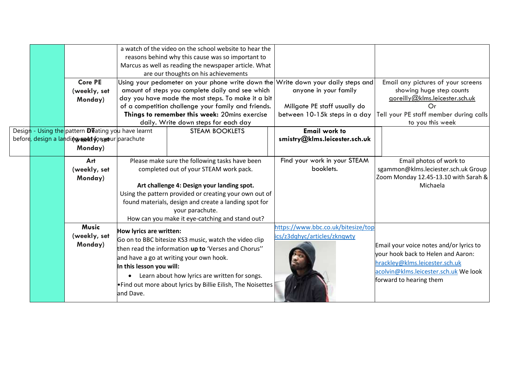|  |                                                             |                                                | a watch of the video on the school website to hear the                            |                               |                                         |
|--|-------------------------------------------------------------|------------------------------------------------|-----------------------------------------------------------------------------------|-------------------------------|-----------------------------------------|
|  |                                                             |                                                | reasons behind why this cause was so important to                                 |                               |                                         |
|  |                                                             |                                                | Marcus as well as reading the newspaper article. What                             |                               |                                         |
|  |                                                             |                                                | are our thoughts on his achievements                                              |                               |                                         |
|  | <b>Core PE</b>                                              |                                                | Using your pedometer on your phone write down the Write down your daily steps and |                               | Email any pictures of your screens      |
|  | (weekly, set                                                |                                                | amount of steps you complete daily and see which                                  | anyone in your family         | showing huge step counts                |
|  | Monday)                                                     |                                                | day you have made the most steps. To make it a bit                                |                               | goreilly@klms.leicester.sch.uk          |
|  |                                                             |                                                | of a competition challenge your family and friends.                               | Millgate PE staff usually do  | $\Omega$ r                              |
|  |                                                             |                                                | Things to remember this week: 20mins exercise                                     | between 10-15k steps in a day | Tell your PE staff member during calls  |
|  |                                                             |                                                | daily. Write down steps for each day                                              |                               | to you this week                        |
|  | Design - Using the pattern <b>D</b> T ating you have learnt |                                                | <b>STEAM BOOKLETS</b>                                                             | <b>Email work to</b>          |                                         |
|  | beford, design a landing sext forseour parachute            |                                                |                                                                                   | smistry@klms.leicester.sch.uk |                                         |
|  | Monday)                                                     |                                                |                                                                                   |                               |                                         |
|  | Art                                                         | Please make sure the following tasks have been |                                                                                   | Find your work in your STEAM  | Email photos of work to                 |
|  | (weekly, set                                                |                                                | completed out of your STEAM work pack.                                            | booklets.                     | sgammon@klms.leciester.sch.uk Group     |
|  | Monday)                                                     |                                                |                                                                                   |                               | Zoom Monday 12.45-13.10 with Sarah &    |
|  |                                                             |                                                | Art challenge 4: Design your landing spot.                                        |                               | Michaela                                |
|  |                                                             |                                                | Using the pattern provided or creating your own out of                            |                               |                                         |
|  |                                                             |                                                | found materials, design and create a landing spot for                             |                               |                                         |
|  |                                                             |                                                | your parachute.                                                                   |                               |                                         |
|  |                                                             |                                                | How can you make it eye-catching and stand out?                                   |                               |                                         |
|  | <b>Music</b><br>How lyrics are written:                     |                                                | https://www.bbc.co.uk/bitesize/top                                                |                               |                                         |
|  | (weekly, set                                                |                                                |                                                                                   | ics/z3dqhyc/articles/zknqwty  |                                         |
|  | Monday)                                                     |                                                | Go on to BBC bitesize KS3 music, watch the video clip                             |                               | Email your voice notes and/or lyrics to |
|  |                                                             |                                                | then read the information up to 'Verses and Chorus"                               |                               | vour hook back to Helen and Aaron:      |
|  |                                                             |                                                | and have a go at writing your own hook.                                           |                               | hrackley@klms.leicester.sch.uk          |
|  |                                                             | In this lesson you will:                       |                                                                                   |                               | acolvin@klms.leicester.sch.uk We look   |
|  |                                                             | Learn about how lyrics are written for songs.  |                                                                                   |                               | forward to hearing them                 |
|  |                                                             |                                                | . Find out more about lyrics by Billie Eilish, The Noisettes                      |                               |                                         |
|  |                                                             | and Dave.                                      |                                                                                   |                               |                                         |
|  |                                                             |                                                |                                                                                   |                               |                                         |